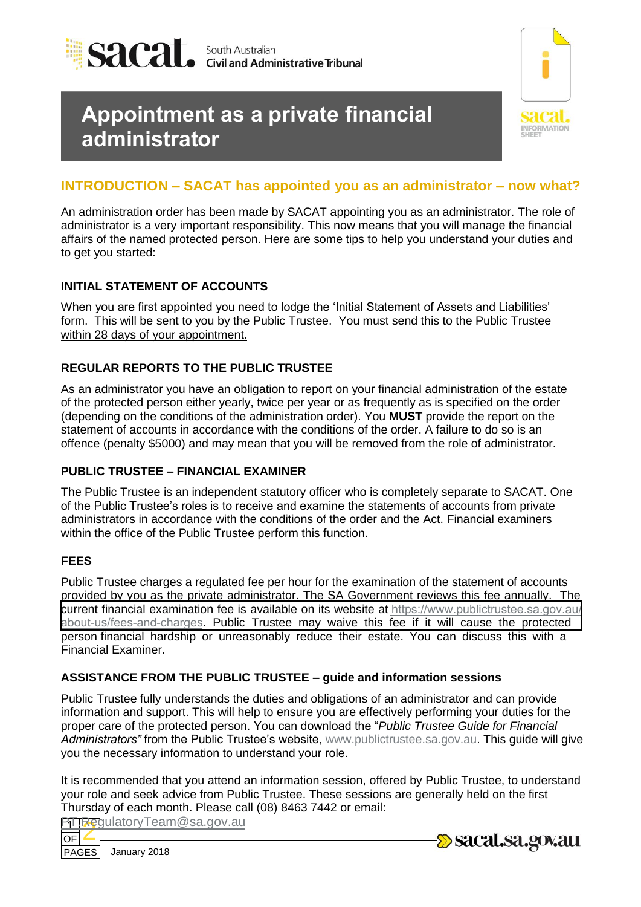

# **Appointment as a private financial administrator**



# **INTRODUCTION – SACAT has appointed you as an administrator – now what?**

An administration order has been made by SACAT appointing you as an administrator. The role of administrator is a very important responsibility. This now means that you will manage the financial affairs of the named protected person. Here are some tips to help you understand your duties and to get you started:

### **INITIAL STATEMENT OF ACCOUNTS**

When you are first appointed you need to lodge the 'Initial Statement of Assets and Liabilities' form. This will be sent to you by the Public Trustee. You must send this to the Public Trustee within 28 days of your appointment.

## **REGULAR REPORTS TO THE PUBLIC TRUSTEE**

As an administrator you have an obligation to report on your financial administration of the estate of the protected person either yearly, twice per year or as frequently as is specified on the order (depending on the conditions of the administration order). You **MUST** provide the report on the statement of accounts in accordance with the conditions of the order. A failure to do so is an offence (penalty \$5000) and may mean that you will be removed from the role of administrator.

# **PUBLIC TRUSTEE – FINANCIAL EXAMINER**

The Public Trustee is an independent statutory officer who is completely separate to SACAT. One of the Public Trustee's roles is to receive and examine the statements of accounts from private administrators in accordance with the conditions of the order and the Act. Financial examiners within the office of the Public Trustee perform this function.

### **FEES**

Public Trustee charges a regulated fee per hour for the examination of the statement of accounts provided by you as the private administrator. The SA Government reviews this fee annually. The current financial examination fee is available on its website at https://www.publictrustee.sa.gov.au/ [about-us](http://www.publictrustee.sa.gov.au/fees-charges)/fees-and-charges[. Public Trustee may waive this fee if it will cause the protected](https://www.publictrustee.sa.gov.au/about-us/fees-and-charges)  person financial hardship or unreasonably reduce their estate. You can discuss this with a Financial Examiner.

### **ASSISTANCE FROM THE PUBLIC TRUSTEE – guide and information sessions**

Public Trustee fully understands the duties and obligations of an administrator and can provide information and support. This will help to ensure you are effectively performing your duties for the proper care of the protected person. You can download the "*Public Trustee Guide for Financial Administrators"* from the Public Trustee's website, [www.publictrustee.sa.gov.au.](http://www.publictrustee.sa.gov.au/) This guide will give you the necessary information to understand your role.

It is recommended that you attend an information session, offered by Public Trustee, to understand your role and seek advice from Public Trustee. These session[s are generally held on the first](mailto:PT.RegulatoryTeam@sa.gov.au)  Thursday of each month. Please call (08) 8463 7442 or email:

1 OF 2 PT.RegulatoryTeam@sa.gov.au